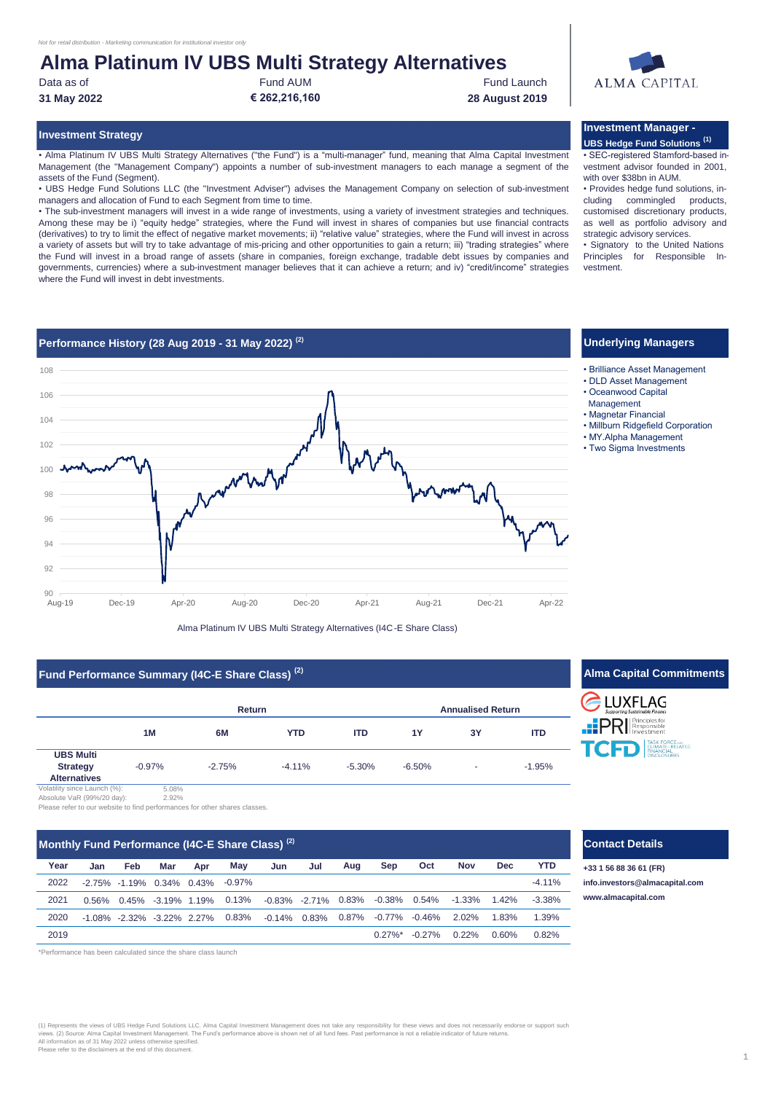## **Alma Platinum IV UBS Multi Strategy Alternatives**

Data as of **Fund AUM** Fund AUM **Fund Launch** Fund Launch

**31 May 2022 € 262,216,160 28 August 2019**

• Alma Platinum IV UBS Multi Strategy Alternatives ("the Fund") is a "multi-manager" fund, meaning that Alma Capital Investment Management (the "Management Company") appoints a number of sub-investment managers to each manage a segment of the assets of the Fund (Segment).

• UBS Hedge Fund Solutions LLC (the "Investment Adviser") advises the Management Company on selection of sub-investment managers and allocation of Fund to each Segment from time to time.

• The sub-investment managers will invest in a wide range of investments, using a variety of investment strategies and techniques. Among these may be i) "equity hedge" strategies, where the Fund will invest in shares of companies but use financial contracts (derivatives) to try to limit the effect of negative market movements; ii) "relative value" strategies, where the Fund will invest in across a variety of assets but will try to take advantage of mis-pricing and other opportunities to gain a return; iii) "trading strategies" where the Fund will invest in a broad range of assets (share in companies, foreign exchange, tradable debt issues by companies and governments, currencies) where a sub-investment manager believes that it can achieve a return; and iv) "credit/income" strategies where the Fund will invest in debt investments.

# **ALMA CAPITAL**

#### **Investment Strategy Investment Manager - UBS Hedge Fund Solutions (1)**

• SEC-registered Stamford-based investment advisor founded in 2001, with over \$38bn in AUM.

• Provides hedge fund solutions, including commingled products, customised discretionary products, as well as portfolio advisory and strategic advisory services.

• Signatory to the United Nations Principles for Responsible Investment.

Management



Alma Platinum IV UBS Multi Strategy Alternatives (I4C-E Share Class)

### **Fund Performance Summary (I4C-E Share Class) (2)**

|                                                            |          | Return   |            | <b>Annualised Return</b> |           |    |            |
|------------------------------------------------------------|----------|----------|------------|--------------------------|-----------|----|------------|
|                                                            | 1M       | 6M       | <b>YTD</b> | <b>ITD</b>               | <b>1Y</b> | 3Y | <b>ITD</b> |
| <b>UBS Multi</b><br><b>Strategy</b><br><b>Alternatives</b> | $-0.97%$ | $-2.75%$ | $-4.11%$   | $-5.30%$                 | $-6.50%$  | ۰  | $-1.95%$   |



2.92% Please refer to our website to find performances for other shares classes.

| Monthly Fund Performance (I4C-E Share Class) <sup>(2)</sup> |          |     |                                 |     |           |                 |                     | <b>Contact Details</b> |              |           |            |            |            |                        |
|-------------------------------------------------------------|----------|-----|---------------------------------|-----|-----------|-----------------|---------------------|------------------------|--------------|-----------|------------|------------|------------|------------------------|
| Year                                                        | Jan      | Feb | Mar                             | Apr | May       | Jun             | Jul                 | Aua                    | Sep          | Oct       | <b>Nov</b> | <b>Dec</b> | <b>YTD</b> | +33 1 56 88 36 61 (FR) |
| 2022                                                        |          |     | -2.75% -1.19% 0.34% 0.43%       |     | $-0.97\%$ |                 |                     |                        |              |           |            |            | $-4.11%$   | info.investors@almac   |
| 2021                                                        | $0.56\%$ |     | 0.45% -3.19% 1.19%              |     | 0.13%     |                 | -0.83% -2.71% 0.83% |                        | -0.38%       | 0.54%     | -1.33%     | $1.42\%$   | $-3.38%$   | www.almacapital.com    |
| 2020                                                        |          |     | $-1.08\% -2.32\% -3.22\%$ 2.27% |     | 0.83%     | $-0.14\%$ 0.83% |                     |                        | 0.87% -0.77% | $-0.46\%$ | $2.02\%$   | 1.83%      | 1.39%      |                        |
| 2019                                                        |          |     |                                 |     |           |                 |                     |                        | $0.27\%$ *   | $-0.27\%$ | 0.22%      | 0.60%      | 0.82%      |                        |

\*Performance has been calculated since the share class launch



**Alma Capital Commitments**



#### **Contact Details**

**Jan Feb Mar Apr Jun Jul +33 1 56 88 36 61 (FR)** -2.75% -1.19% 0.34% 0.43% **[info.investors@almacapital.com](mailto:info.investors@almacapital.com)**

(1) Represents the views of UBS Hedge Fund Solutions LLC. Alma Capital Investment Management does not take any responsibility for these views and does not necessarily endorse or support such<br>views. (2) Source: Alma Capital All information as of 31 May 2022 unless otherwise specified. Please refer to the disclaimers at the end of this document.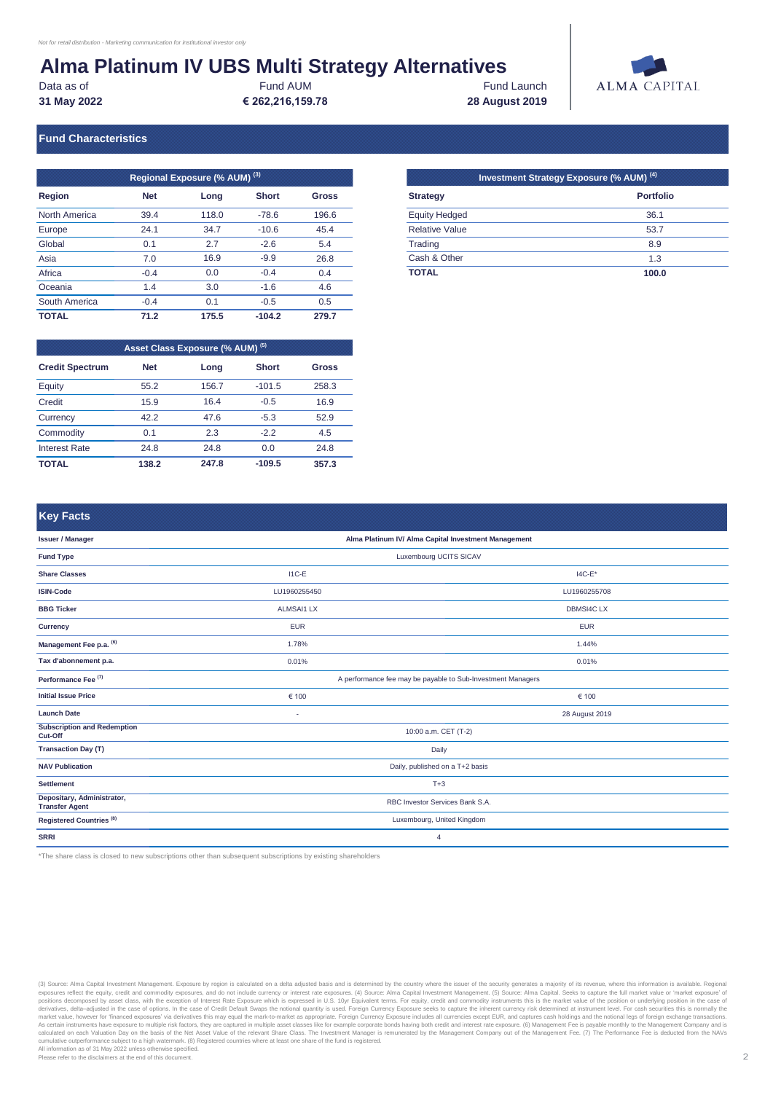## **Alma Platinum IV UBS Multi Strategy Alternatives**

**31 May 2022 € 262,216,159.78 28 August 2019** Data as of **Fund AUM** Fund AUM Fund Launch



#### **Fund Characteristics**

| Regional Exposure (% AUM) <sup>(3)</sup> |            |       |              |       |  |  |  |
|------------------------------------------|------------|-------|--------------|-------|--|--|--|
| Region                                   | <b>Net</b> | Long  | <b>Short</b> | Gross |  |  |  |
| North America                            | 39.4       | 118.0 | $-78.6$      | 196.6 |  |  |  |
| Europe                                   | 24.1       | 34.7  | $-10.6$      | 45.4  |  |  |  |
| Global                                   | 0.1        | 2.7   | $-2.6$       | 5.4   |  |  |  |
| Asia                                     | 7.0        | 16.9  | $-9.9$       | 26.8  |  |  |  |
| Africa                                   | $-0.4$     | 0.0   | $-0.4$       | 0.4   |  |  |  |
| Oceania                                  | 1.4        | 3.0   | $-1.6$       | 4.6   |  |  |  |
| South America                            | $-0.4$     | 0.1   | $-0.5$       | 0.5   |  |  |  |
| <b>TOTAL</b>                             | 71.2       | 175.5 | $-104.2$     | 279.7 |  |  |  |

| Asset Class Exposure (% AUM) (5) |            |       |              |       |  |  |  |
|----------------------------------|------------|-------|--------------|-------|--|--|--|
| <b>Credit Spectrum</b>           | <b>Net</b> | Long  | <b>Short</b> | Gross |  |  |  |
| Equity                           | 55.2       | 156.7 | $-101.5$     | 258.3 |  |  |  |
| Credit                           | 15.9       | 16.4  | $-0.5$       | 16.9  |  |  |  |
| Currency                         | 42 2       | 47.6  | $-5.3$       | 52.9  |  |  |  |
| Commodity                        | 0.1        | 2.3   | $-2.2$       | 4.5   |  |  |  |
| <b>Interest Rate</b>             | 24.8       | 24.8  | 0.0          | 24.8  |  |  |  |
| TOTAL                            | 138.2      | 247.8 | $-109.5$     | 357.3 |  |  |  |

| Regional Exposure (% AUM) <sup>(3) 1</sup> |       |              |              |                       | Investment Strategy Exposure (% AUM) <sup>(4) [</sup> |
|--------------------------------------------|-------|--------------|--------------|-----------------------|-------------------------------------------------------|
| <b>Net</b>                                 | Long  | <b>Short</b> | <b>Gross</b> | <b>Strategy</b>       | <b>Portfolio</b>                                      |
| 39.4                                       | 118.0 | $-78.6$      | 196.6        | <b>Equity Hedged</b>  | 36.1                                                  |
| 24.1                                       | 34.7  | $-10.6$      | 45.4         | <b>Relative Value</b> | 53.7                                                  |
| 0.1                                        | 2.7   | $-2.6$       | 5.4          | Trading               | 8.9                                                   |
| 7.0                                        | 16.9  | $-9.9$       | 26.8         | Cash & Other          | 1.3                                                   |
| $-0.4$                                     | 0.0   | $-0.4$       | 0.4          | <b>TOTAL</b>          | 100.0                                                 |

#### **Key Facts**

| n m<br>,,,,,,,,,,,,,,,,,                            |                                                             |                                 |  |  |  |
|-----------------------------------------------------|-------------------------------------------------------------|---------------------------------|--|--|--|
| <b>Issuer / Manager</b>                             | Alma Platinum IV/ Alma Capital Investment Management        |                                 |  |  |  |
| <b>Fund Type</b>                                    | Luxembourg UCITS SICAV                                      |                                 |  |  |  |
| <b>Share Classes</b>                                | $I1C-E$                                                     | $14C-E*$                        |  |  |  |
| <b>ISIN-Code</b>                                    | LU1960255450                                                | LU1960255708                    |  |  |  |
| <b>BBG Ticker</b>                                   | <b>ALMSAI1 LX</b>                                           | <b>DBMSI4C LX</b>               |  |  |  |
| Currency                                            | <b>EUR</b>                                                  | <b>EUR</b>                      |  |  |  |
| Management Fee p.a. (6)                             | 1.78%                                                       | 1.44%                           |  |  |  |
| Tax d'abonnement p.a.                               | 0.01%                                                       | 0.01%                           |  |  |  |
| Performance Fee <sup>(7)</sup>                      | A performance fee may be payable to Sub-Investment Managers |                                 |  |  |  |
| <b>Initial Issue Price</b>                          | € 100                                                       | € 100                           |  |  |  |
| <b>Launch Date</b>                                  | ٠                                                           | 28 August 2019                  |  |  |  |
| <b>Subscription and Redemption</b><br>Cut-Off       | 10:00 a.m. CET (T-2)                                        |                                 |  |  |  |
| <b>Transaction Day (T)</b>                          | Daily                                                       |                                 |  |  |  |
| <b>NAV Publication</b>                              | Daily, published on a T+2 basis                             |                                 |  |  |  |
| <b>Settlement</b>                                   | $T+3$                                                       |                                 |  |  |  |
| Depositary, Administrator,<br><b>Transfer Agent</b> |                                                             | RBC Investor Services Bank S.A. |  |  |  |
| Registered Countries <sup>(8)</sup>                 |                                                             | Luxembourg, United Kingdom      |  |  |  |
| <b>SRRI</b>                                         |                                                             | 4                               |  |  |  |

\*The share class is closed to new subscriptions other than subsequent subscriptions by existing shareholders

(3) Source: Alma Capital Investment Management. Exposure by region is calculated on a delta adjusted bas and is determined by the Nanagement Company out of the Management Fee. (7) The Performance Fee is deducted from the N